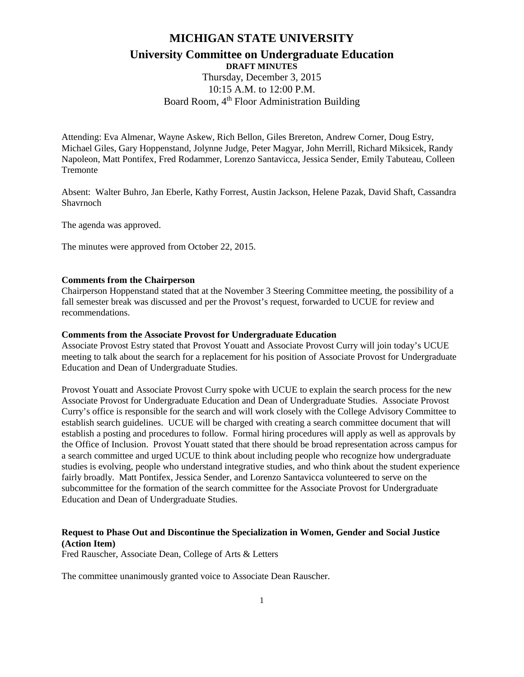# **MICHIGAN STATE UNIVERSITY**

# **University Committee on Undergraduate Education DRAFT MINUTES**

Thursday, December 3, 2015 10:15 A.M. to 12:00 P.M. Board Room, 4<sup>th</sup> Floor Administration Building

Attending: Eva Almenar, Wayne Askew, Rich Bellon, Giles Brereton, Andrew Corner, Doug Estry, Michael Giles, Gary Hoppenstand, Jolynne Judge, Peter Magyar, John Merrill, Richard Miksicek, Randy Napoleon, Matt Pontifex, Fred Rodammer, Lorenzo Santavicca, Jessica Sender, Emily Tabuteau, Colleen Tremonte

Absent: Walter Buhro, Jan Eberle, Kathy Forrest, Austin Jackson, Helene Pazak, David Shaft, Cassandra Shavrnoch

The agenda was approved.

The minutes were approved from October 22, 2015.

#### **Comments from the Chairperson**

Chairperson Hoppenstand stated that at the November 3 Steering Committee meeting, the possibility of a fall semester break was discussed and per the Provost's request, forwarded to UCUE for review and recommendations.

#### **Comments from the Associate Provost for Undergraduate Education**

Associate Provost Estry stated that Provost Youatt and Associate Provost Curry will join today's UCUE meeting to talk about the search for a replacement for his position of Associate Provost for Undergraduate Education and Dean of Undergraduate Studies.

Provost Youatt and Associate Provost Curry spoke with UCUE to explain the search process for the new Associate Provost for Undergraduate Education and Dean of Undergraduate Studies. Associate Provost Curry's office is responsible for the search and will work closely with the College Advisory Committee to establish search guidelines. UCUE will be charged with creating a search committee document that will establish a posting and procedures to follow. Formal hiring procedures will apply as well as approvals by the Office of Inclusion. Provost Youatt stated that there should be broad representation across campus for a search committee and urged UCUE to think about including people who recognize how undergraduate studies is evolving, people who understand integrative studies, and who think about the student experience fairly broadly. Matt Pontifex, Jessica Sender, and Lorenzo Santavicca volunteered to serve on the subcommittee for the formation of the search committee for the Associate Provost for Undergraduate Education and Dean of Undergraduate Studies.

# **Request to Phase Out and Discontinue the Specialization in Women, Gender and Social Justice (Action Item)**

Fred Rauscher, Associate Dean, College of Arts & Letters

The committee unanimously granted voice to Associate Dean Rauscher.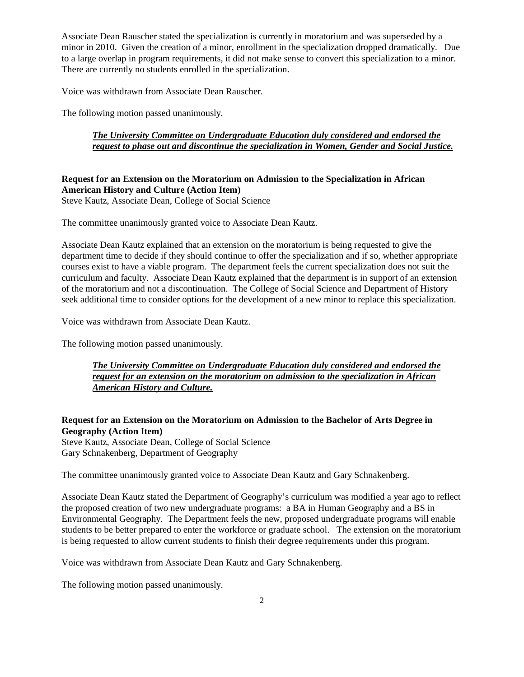Associate Dean Rauscher stated the specialization is currently in moratorium and was superseded by a minor in 2010. Given the creation of a minor, enrollment in the specialization dropped dramatically. Due to a large overlap in program requirements, it did not make sense to convert this specialization to a minor. There are currently no students enrolled in the specialization.

Voice was withdrawn from Associate Dean Rauscher.

The following motion passed unanimously.

## *The University Committee on Undergraduate Education duly considered and endorsed the request to phase out and discontinue the specialization in Women, Gender and Social Justice.*

# **Request for an Extension on the Moratorium on Admission to the Specialization in African American History and Culture (Action Item)**

Steve Kautz, Associate Dean, College of Social Science

The committee unanimously granted voice to Associate Dean Kautz.

Associate Dean Kautz explained that an extension on the moratorium is being requested to give the department time to decide if they should continue to offer the specialization and if so, whether appropriate courses exist to have a viable program. The department feels the current specialization does not suit the curriculum and faculty. Associate Dean Kautz explained that the department is in support of an extension of the moratorium and not a discontinuation. The College of Social Science and Department of History seek additional time to consider options for the development of a new minor to replace this specialization.

Voice was withdrawn from Associate Dean Kautz.

The following motion passed unanimously.

# *The University Committee on Undergraduate Education duly considered and endorsed the request for an extension on the moratorium on admission to the specialization in African American History and Culture.*

## **Request for an Extension on the Moratorium on Admission to the Bachelor of Arts Degree in Geography (Action Item)**

Steve Kautz, Associate Dean, College of Social Science Gary Schnakenberg, Department of Geography

The committee unanimously granted voice to Associate Dean Kautz and Gary Schnakenberg.

Associate Dean Kautz stated the Department of Geography's curriculum was modified a year ago to reflect the proposed creation of two new undergraduate programs: a BA in Human Geography and a BS in Environmental Geography. The Department feels the new, proposed undergraduate programs will enable students to be better prepared to enter the workforce or graduate school. The extension on the moratorium is being requested to allow current students to finish their degree requirements under this program.

Voice was withdrawn from Associate Dean Kautz and Gary Schnakenberg.

The following motion passed unanimously.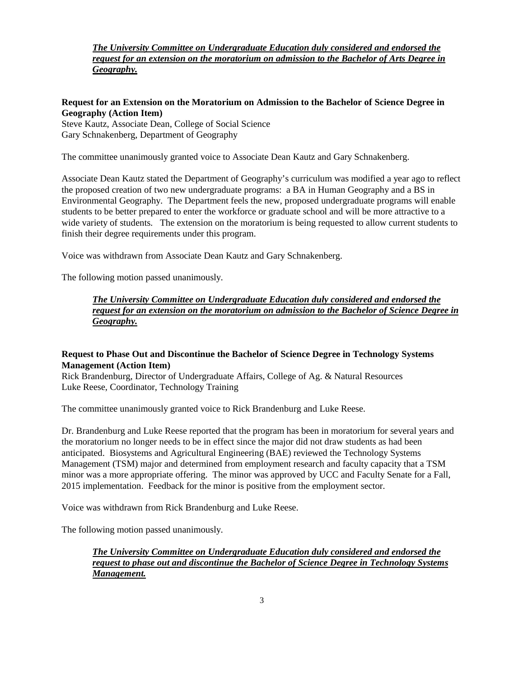*The University Committee on Undergraduate Education duly considered and endorsed the request for an extension on the moratorium on admission to the Bachelor of Arts Degree in Geography.*

#### **Request for an Extension on the Moratorium on Admission to the Bachelor of Science Degree in Geography (Action Item)**

Steve Kautz, Associate Dean, College of Social Science Gary Schnakenberg, Department of Geography

The committee unanimously granted voice to Associate Dean Kautz and Gary Schnakenberg.

Associate Dean Kautz stated the Department of Geography's curriculum was modified a year ago to reflect the proposed creation of two new undergraduate programs: a BA in Human Geography and a BS in Environmental Geography. The Department feels the new, proposed undergraduate programs will enable students to be better prepared to enter the workforce or graduate school and will be more attractive to a wide variety of students. The extension on the moratorium is being requested to allow current students to finish their degree requirements under this program.

Voice was withdrawn from Associate Dean Kautz and Gary Schnakenberg.

The following motion passed unanimously.

*The University Committee on Undergraduate Education duly considered and endorsed the request for an extension on the moratorium on admission to the Bachelor of Science Degree in Geography.*

## **Request to Phase Out and Discontinue the Bachelor of Science Degree in Technology Systems Management (Action Item)**

Rick Brandenburg, Director of Undergraduate Affairs, College of Ag. & Natural Resources Luke Reese, Coordinator, Technology Training

The committee unanimously granted voice to Rick Brandenburg and Luke Reese.

Dr. Brandenburg and Luke Reese reported that the program has been in moratorium for several years and the moratorium no longer needs to be in effect since the major did not draw students as had been anticipated. Biosystems and Agricultural Engineering (BAE) reviewed the Technology Systems Management (TSM) major and determined from employment research and faculty capacity that a TSM minor was a more appropriate offering. The minor was approved by UCC and Faculty Senate for a Fall, 2015 implementation. Feedback for the minor is positive from the employment sector.

Voice was withdrawn from Rick Brandenburg and Luke Reese.

The following motion passed unanimously.

*The University Committee on Undergraduate Education duly considered and endorsed the request to phase out and discontinue the Bachelor of Science Degree in Technology Systems Management.*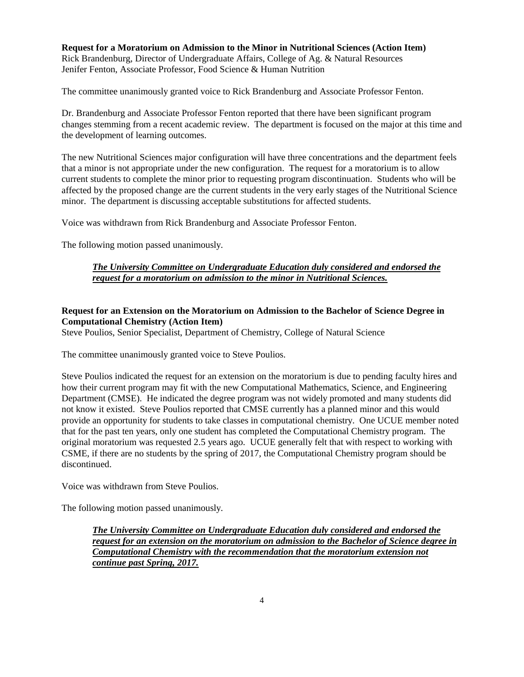**Request for a Moratorium on Admission to the Minor in Nutritional Sciences (Action Item)** Rick Brandenburg, Director of Undergraduate Affairs, College of Ag. & Natural Resources Jenifer Fenton, Associate Professor, Food Science & Human Nutrition

The committee unanimously granted voice to Rick Brandenburg and Associate Professor Fenton.

Dr. Brandenburg and Associate Professor Fenton reported that there have been significant program changes stemming from a recent academic review. The department is focused on the major at this time and the development of learning outcomes.

The new Nutritional Sciences major configuration will have three concentrations and the department feels that a minor is not appropriate under the new configuration. The request for a moratorium is to allow current students to complete the minor prior to requesting program discontinuation. Students who will be affected by the proposed change are the current students in the very early stages of the Nutritional Science minor. The department is discussing acceptable substitutions for affected students.

Voice was withdrawn from Rick Brandenburg and Associate Professor Fenton.

The following motion passed unanimously.

## *The University Committee on Undergraduate Education duly considered and endorsed the request for a moratorium on admission to the minor in Nutritional Sciences.*

# **Request for an Extension on the Moratorium on Admission to the Bachelor of Science Degree in Computational Chemistry (Action Item)**

Steve Poulios, Senior Specialist, Department of Chemistry, College of Natural Science

The committee unanimously granted voice to Steve Poulios.

Steve Poulios indicated the request for an extension on the moratorium is due to pending faculty hires and how their current program may fit with the new Computational Mathematics, Science, and Engineering Department (CMSE). He indicated the degree program was not widely promoted and many students did not know it existed. Steve Poulios reported that CMSE currently has a planned minor and this would provide an opportunity for students to take classes in computational chemistry. One UCUE member noted that for the past ten years, only one student has completed the Computational Chemistry program. The original moratorium was requested 2.5 years ago. UCUE generally felt that with respect to working with CSME, if there are no students by the spring of 2017, the Computational Chemistry program should be discontinued.

Voice was withdrawn from Steve Poulios.

The following motion passed unanimously.

*The University Committee on Undergraduate Education duly considered and endorsed the request for an extension on the moratorium on admission to the Bachelor of Science degree in Computational Chemistry with the recommendation that the moratorium extension not continue past Spring, 2017.*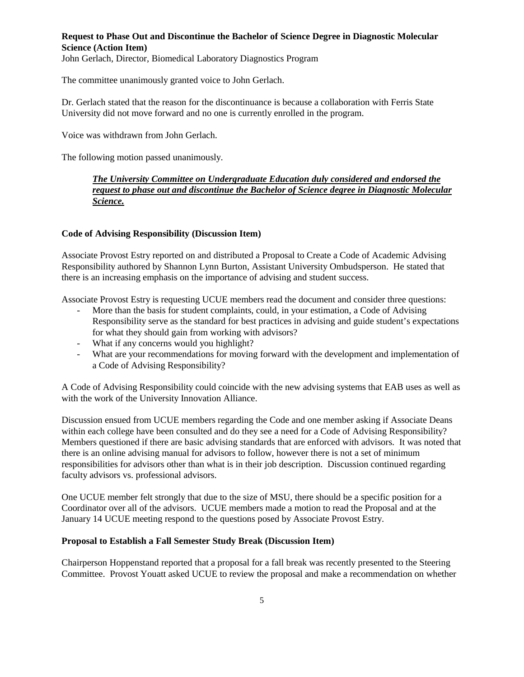## **Request to Phase Out and Discontinue the Bachelor of Science Degree in Diagnostic Molecular Science (Action Item)**

John Gerlach, Director, Biomedical Laboratory Diagnostics Program

The committee unanimously granted voice to John Gerlach.

Dr. Gerlach stated that the reason for the discontinuance is because a collaboration with Ferris State University did not move forward and no one is currently enrolled in the program.

Voice was withdrawn from John Gerlach.

The following motion passed unanimously.

*The University Committee on Undergraduate Education duly considered and endorsed the request to phase out and discontinue the Bachelor of Science degree in Diagnostic Molecular Science.*

#### **Code of Advising Responsibility (Discussion Item)**

Associate Provost Estry reported on and distributed a Proposal to Create a Code of Academic Advising Responsibility authored by Shannon Lynn Burton, Assistant University Ombudsperson. He stated that there is an increasing emphasis on the importance of advising and student success.

Associate Provost Estry is requesting UCUE members read the document and consider three questions:

- More than the basis for student complaints, could, in your estimation, a Code of Advising Responsibility serve as the standard for best practices in advising and guide student's expectations for what they should gain from working with advisors?
- What if any concerns would you highlight?
- What are your recommendations for moving forward with the development and implementation of a Code of Advising Responsibility?

A Code of Advising Responsibility could coincide with the new advising systems that EAB uses as well as with the work of the University Innovation Alliance.

Discussion ensued from UCUE members regarding the Code and one member asking if Associate Deans within each college have been consulted and do they see a need for a Code of Advising Responsibility? Members questioned if there are basic advising standards that are enforced with advisors. It was noted that there is an online advising manual for advisors to follow, however there is not a set of minimum responsibilities for advisors other than what is in their job description. Discussion continued regarding faculty advisors vs. professional advisors.

One UCUE member felt strongly that due to the size of MSU, there should be a specific position for a Coordinator over all of the advisors. UCUE members made a motion to read the Proposal and at the January 14 UCUE meeting respond to the questions posed by Associate Provost Estry.

#### **Proposal to Establish a Fall Semester Study Break (Discussion Item)**

Chairperson Hoppenstand reported that a proposal for a fall break was recently presented to the Steering Committee. Provost Youatt asked UCUE to review the proposal and make a recommendation on whether